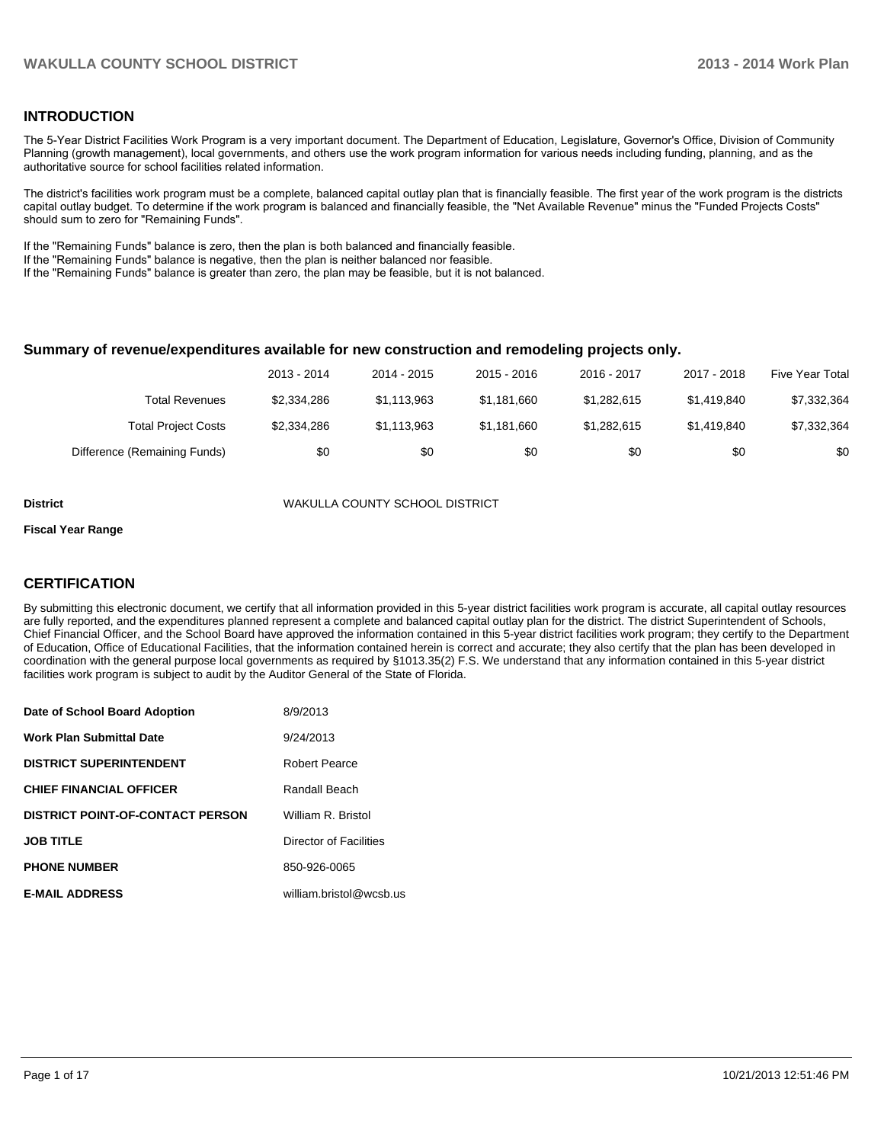### **INTRODUCTION**

The 5-Year District Facilities Work Program is a very important document. The Department of Education, Legislature, Governor's Office, Division of Community Planning (growth management), local governments, and others use the work program information for various needs including funding, planning, and as the authoritative source for school facilities related information.

The district's facilities work program must be a complete, balanced capital outlay plan that is financially feasible. The first year of the work program is the districts capital outlay budget. To determine if the work program is balanced and financially feasible, the "Net Available Revenue" minus the "Funded Projects Costs" should sum to zero for "Remaining Funds".

If the "Remaining Funds" balance is zero, then the plan is both balanced and financially feasible.

If the "Remaining Funds" balance is negative, then the plan is neither balanced nor feasible.

If the "Remaining Funds" balance is greater than zero, the plan may be feasible, but it is not balanced.

#### **Summary of revenue/expenditures available for new construction and remodeling projects only.**

|                              | 2013 - 2014 | 2014 - 2015 | 2015 - 2016 | 2016 - 2017 | 2017 - 2018 | Five Year Total |
|------------------------------|-------------|-------------|-------------|-------------|-------------|-----------------|
| Total Revenues               | \$2,334,286 | \$1.113.963 | \$1.181.660 | \$1,282,615 | \$1,419,840 | \$7,332,364     |
| <b>Total Project Costs</b>   | \$2,334,286 | \$1.113.963 | \$1.181.660 | \$1,282,615 | \$1,419,840 | \$7,332,364     |
| Difference (Remaining Funds) | \$0         | \$0         | \$0         | \$0         | \$0         | \$0             |

**District** WAKULLA COUNTY SCHOOL DISTRICT

#### **Fiscal Year Range**

### **CERTIFICATION**

By submitting this electronic document, we certify that all information provided in this 5-year district facilities work program is accurate, all capital outlay resources are fully reported, and the expenditures planned represent a complete and balanced capital outlay plan for the district. The district Superintendent of Schools, Chief Financial Officer, and the School Board have approved the information contained in this 5-year district facilities work program; they certify to the Department of Education, Office of Educational Facilities, that the information contained herein is correct and accurate; they also certify that the plan has been developed in coordination with the general purpose local governments as required by §1013.35(2) F.S. We understand that any information contained in this 5-year district facilities work program is subject to audit by the Auditor General of the State of Florida.

| Date of School Board Adoption           | 8/9/2013                |
|-----------------------------------------|-------------------------|
| <b>Work Plan Submittal Date</b>         | 9/24/2013               |
| <b>DISTRICT SUPERINTENDENT</b>          | Robert Pearce           |
| <b>CHIEF FINANCIAL OFFICER</b>          | Randall Beach           |
| <b>DISTRICT POINT-OF-CONTACT PERSON</b> | William R. Bristol      |
| <b>JOB TITLE</b>                        | Director of Facilities  |
| <b>PHONE NUMBER</b>                     | 850-926-0065            |
| <b>E-MAIL ADDRESS</b>                   | william.bristol@wcsb.us |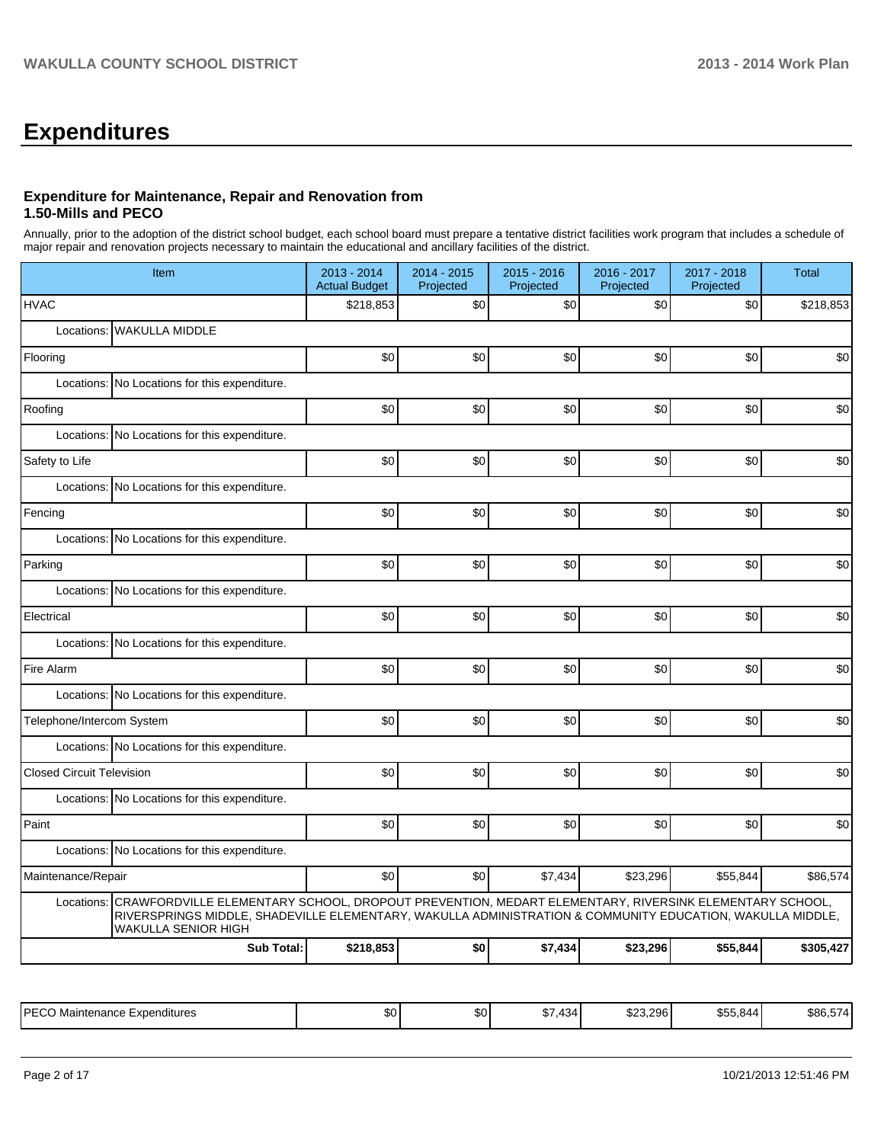# **Expenditures**

## **Expenditure for Maintenance, Repair and Renovation from 1.50-Mills and PECO**

Annually, prior to the adoption of the district school budget, each school board must prepare a tentative district facilities work program that includes a schedule of major repair and renovation projects necessary to maintain the educational and ancillary facilities of the district.

| Item                                                                                                                                                                                                                                                   | 2013 - 2014<br><b>Actual Budget</b>           | 2014 - 2015<br>Projected | 2015 - 2016<br>Projected | 2016 - 2017<br>Projected | 2017 - 2018<br>Projected | <b>Total</b> |  |  |  |  |  |
|--------------------------------------------------------------------------------------------------------------------------------------------------------------------------------------------------------------------------------------------------------|-----------------------------------------------|--------------------------|--------------------------|--------------------------|--------------------------|--------------|--|--|--|--|--|
| <b>HVAC</b>                                                                                                                                                                                                                                            | \$218,853                                     | \$0                      | \$0                      | \$0                      | \$0                      | \$218,853    |  |  |  |  |  |
| <b>WAKULLA MIDDLE</b><br>Locations:                                                                                                                                                                                                                    |                                               |                          |                          |                          |                          |              |  |  |  |  |  |
| Flooring                                                                                                                                                                                                                                               | \$0                                           | \$0                      | \$0                      | \$0                      | \$0                      | \$0          |  |  |  |  |  |
| Locations:<br>No Locations for this expenditure.                                                                                                                                                                                                       |                                               |                          |                          |                          |                          |              |  |  |  |  |  |
| Roofing                                                                                                                                                                                                                                                | \$0                                           | \$0                      | \$0                      | \$0                      | \$0                      | \$0          |  |  |  |  |  |
| Locations:<br>No Locations for this expenditure.                                                                                                                                                                                                       |                                               |                          |                          |                          |                          |              |  |  |  |  |  |
| Safety to Life                                                                                                                                                                                                                                         | \$0                                           | \$0                      | \$0                      | \$0                      | \$0                      | \$0          |  |  |  |  |  |
| No Locations for this expenditure.<br>Locations:                                                                                                                                                                                                       |                                               |                          |                          |                          |                          |              |  |  |  |  |  |
| Fencing                                                                                                                                                                                                                                                | \$0                                           | \$0                      | \$0                      | \$0                      | \$0                      | \$0          |  |  |  |  |  |
| Locations:<br>No Locations for this expenditure.                                                                                                                                                                                                       |                                               |                          |                          |                          |                          |              |  |  |  |  |  |
| Parking                                                                                                                                                                                                                                                | \$0                                           | \$0                      | \$0                      | \$0                      | \$0                      | \$0          |  |  |  |  |  |
|                                                                                                                                                                                                                                                        | Locations: No Locations for this expenditure. |                          |                          |                          |                          |              |  |  |  |  |  |
| Electrical                                                                                                                                                                                                                                             | \$0                                           | \$0                      | \$0                      | \$0                      | \$0                      | \$0          |  |  |  |  |  |
| No Locations for this expenditure.<br>Locations:                                                                                                                                                                                                       |                                               |                          |                          |                          |                          |              |  |  |  |  |  |
| Fire Alarm                                                                                                                                                                                                                                             | \$0                                           | \$0                      | \$0                      | \$0                      | \$0                      | \$0          |  |  |  |  |  |
| Locations: No Locations for this expenditure.                                                                                                                                                                                                          |                                               |                          |                          |                          |                          |              |  |  |  |  |  |
| Telephone/Intercom System                                                                                                                                                                                                                              | \$0                                           | \$0                      | \$0                      | \$0                      | \$0                      | \$0          |  |  |  |  |  |
| Locations: No Locations for this expenditure.                                                                                                                                                                                                          |                                               |                          |                          |                          |                          |              |  |  |  |  |  |
| <b>Closed Circuit Television</b>                                                                                                                                                                                                                       | \$0                                           | \$0                      | \$0                      | \$0                      | \$0                      | \$0          |  |  |  |  |  |
| Locations: No Locations for this expenditure.                                                                                                                                                                                                          |                                               |                          |                          |                          |                          |              |  |  |  |  |  |
| Paint                                                                                                                                                                                                                                                  | \$0                                           | \$0                      | \$0                      | \$0                      | \$0                      | \$0          |  |  |  |  |  |
| Locations: No Locations for this expenditure.                                                                                                                                                                                                          |                                               |                          |                          |                          |                          |              |  |  |  |  |  |
| Maintenance/Repair                                                                                                                                                                                                                                     | \$0                                           | \$0                      | \$7,434                  | \$23,296                 | \$55,844                 | \$86,574     |  |  |  |  |  |
| CRAWFORDVILLE ELEMENTARY SCHOOL, DROPOUT PREVENTION, MEDART ELEMENTARY, RIVERSINK ELEMENTARY SCHOOL,<br>Locations:<br>RIVERSPRINGS MIDDLE, SHADEVILLE ELEMENTARY, WAKULLA ADMINISTRATION & COMMUNITY EDUCATION, WAKULLA MIDDLE,<br>WAKULLA SENIOR HIGH |                                               |                          |                          |                          |                          |              |  |  |  |  |  |
|                                                                                                                                                                                                                                                        | <b>Sub Total:</b><br>\$218,853                | \$0                      | \$7,434                  | \$23,296                 | \$55,844                 | \$305,427    |  |  |  |  |  |

| <b>PECC</b><br>Expenditures<br>→ Maintenance<br>. AUC. | \$0 <sub>1</sub> | \$0 | 434<br>. ז | \$23.296 | $\hat{z} = \hat{z}$<br>844<br><b>SAR</b><br>ט, טע | ---<br>\$86,57 |
|--------------------------------------------------------|------------------|-----|------------|----------|---------------------------------------------------|----------------|
|--------------------------------------------------------|------------------|-----|------------|----------|---------------------------------------------------|----------------|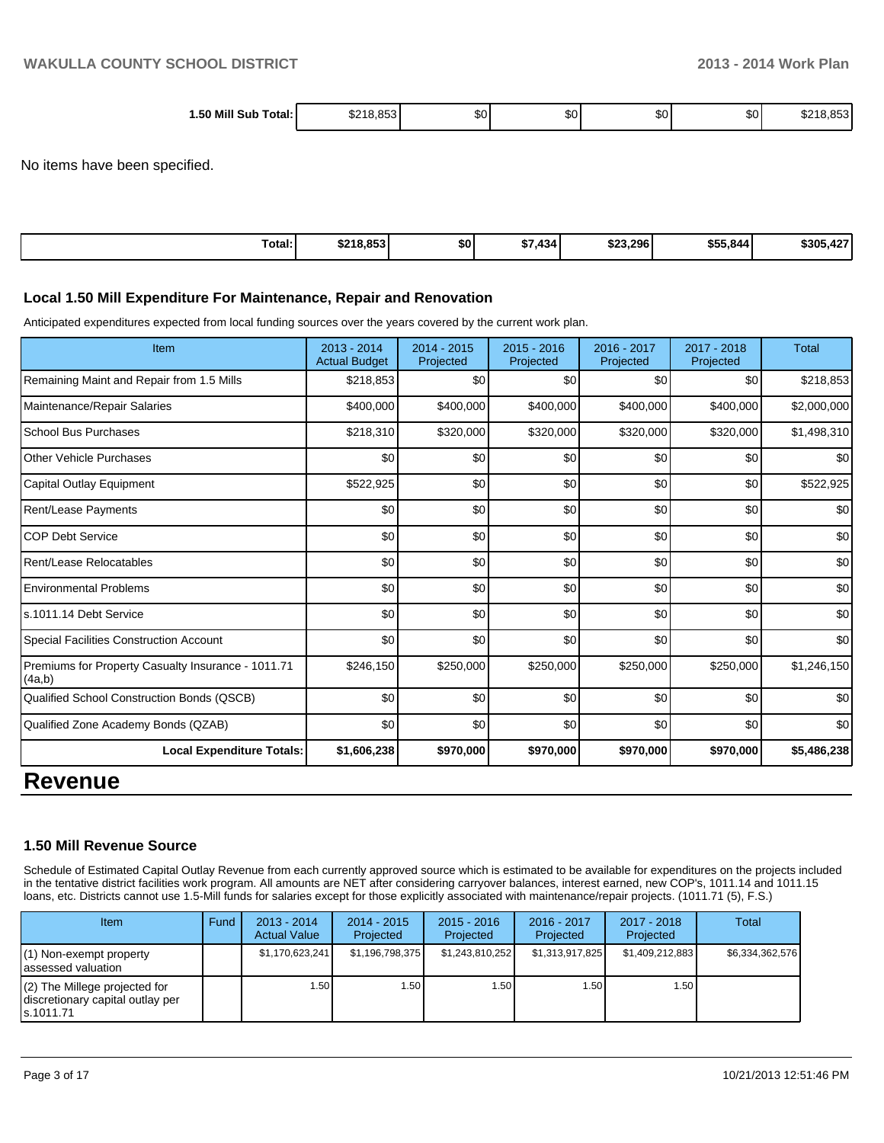| $.50$ Mill $^{\circ}$             | $\sim$ |    |    |     |    |      |
|-----------------------------------|--------|----|----|-----|----|------|
| ˈotal:<br>Sub<br>$\cdot$<br>_____ | ∕ ⊕    | Jυ | æυ | JU. | æи | ∕ ∩. |

No items have been specified.

| Total: | \$218,853 | <b>SO</b> | ا344.<br><b>+7</b><br>DI. | \$23,296 | \$55,844 | \$305,427 |
|--------|-----------|-----------|---------------------------|----------|----------|-----------|
|--------|-----------|-----------|---------------------------|----------|----------|-----------|

#### **Local 1.50 Mill Expenditure For Maintenance, Repair and Renovation**

Anticipated expenditures expected from local funding sources over the years covered by the current work plan.

| Item                                                         | $2013 - 2014$<br><b>Actual Budget</b> | 2014 - 2015<br>Projected | $2015 - 2016$<br>Projected | 2016 - 2017<br>Projected | $2017 - 2018$<br>Projected | <b>Total</b> |
|--------------------------------------------------------------|---------------------------------------|--------------------------|----------------------------|--------------------------|----------------------------|--------------|
| Remaining Maint and Repair from 1.5 Mills                    | \$218,853                             | \$0                      | \$0                        | \$0                      | \$0                        | \$218,853    |
| Maintenance/Repair Salaries                                  | \$400,000                             | \$400,000                | \$400,000                  | \$400,000                | \$400,000                  | \$2,000,000  |
| <b>School Bus Purchases</b>                                  | \$218,310                             | \$320,000                | \$320,000                  | \$320,000                | \$320,000                  | \$1,498,310  |
| <b>Other Vehicle Purchases</b>                               | \$0                                   | \$0                      | \$0                        | \$0                      | \$0                        | \$0          |
| Capital Outlay Equipment                                     | \$522,925                             | \$0                      | \$0                        | \$0                      | \$0                        | \$522,925    |
| <b>Rent/Lease Payments</b>                                   | \$0                                   | \$0                      | \$0                        | \$0                      | \$0                        | \$0          |
| <b>COP Debt Service</b>                                      | \$0                                   | \$0                      | \$0                        | \$0                      | \$0                        | \$0          |
| Rent/Lease Relocatables                                      | \$0                                   | \$0                      | \$0                        | \$0                      | \$0                        | \$0          |
| <b>Environmental Problems</b>                                | \$0                                   | \$0                      | \$0                        | \$0                      | \$0                        | \$0          |
| s.1011.14 Debt Service                                       | \$0                                   | \$0                      | \$0                        | \$0                      | \$0                        | \$0          |
| Special Facilities Construction Account                      | \$0                                   | \$0                      | \$0                        | \$0                      | \$0                        | \$0          |
| Premiums for Property Casualty Insurance - 1011.71<br>(4a,b) | \$246,150                             | \$250,000                | \$250,000                  | \$250,000                | \$250,000                  | \$1,246,150  |
| Qualified School Construction Bonds (QSCB)                   | \$0                                   | \$0                      | \$0                        | \$0                      | \$0                        | \$0          |
| Qualified Zone Academy Bonds (QZAB)                          | \$0                                   | \$0                      | \$0                        | \$0                      | \$0                        | \$0          |
| Local Expenditure Totals:                                    | \$1,606,238                           | \$970,000                | \$970,000                  | \$970,000                | \$970,000                  | \$5,486,238  |
| <b>Pavanua</b>                                               |                                       |                          |                            |                          |                            |              |

# **Revenue**

#### **1.50 Mill Revenue Source**

Schedule of Estimated Capital Outlay Revenue from each currently approved source which is estimated to be available for expenditures on the projects included in the tentative district facilities work program. All amounts are NET after considering carryover balances, interest earned, new COP's, 1011.14 and 1011.15 loans, etc. Districts cannot use 1.5-Mill funds for salaries except for those explicitly associated with maintenance/repair projects. (1011.71 (5), F.S.)

| Item                                                                              | Fund | $2013 - 2014$<br><b>Actual Value</b> | $2014 - 2015$<br>Projected | $2015 - 2016$<br>Projected | $2016 - 2017$<br>Projected | $2017 - 2018$<br>Projected | Total           |
|-----------------------------------------------------------------------------------|------|--------------------------------------|----------------------------|----------------------------|----------------------------|----------------------------|-----------------|
| $(1)$ Non-exempt property<br>lassessed valuation                                  |      | \$1,170,623,241                      | \$1,196,798,375            | \$1,243,810,252            | \$1,313,917,825            | \$1,409,212,883            | \$6,334,362,576 |
| $(2)$ The Millege projected for<br>discretionary capital outlay per<br>ls.1011.71 |      | 1.50                                 | l.50 l                     | 1.50 <sub>1</sub>          | .50                        | 1.50 I                     |                 |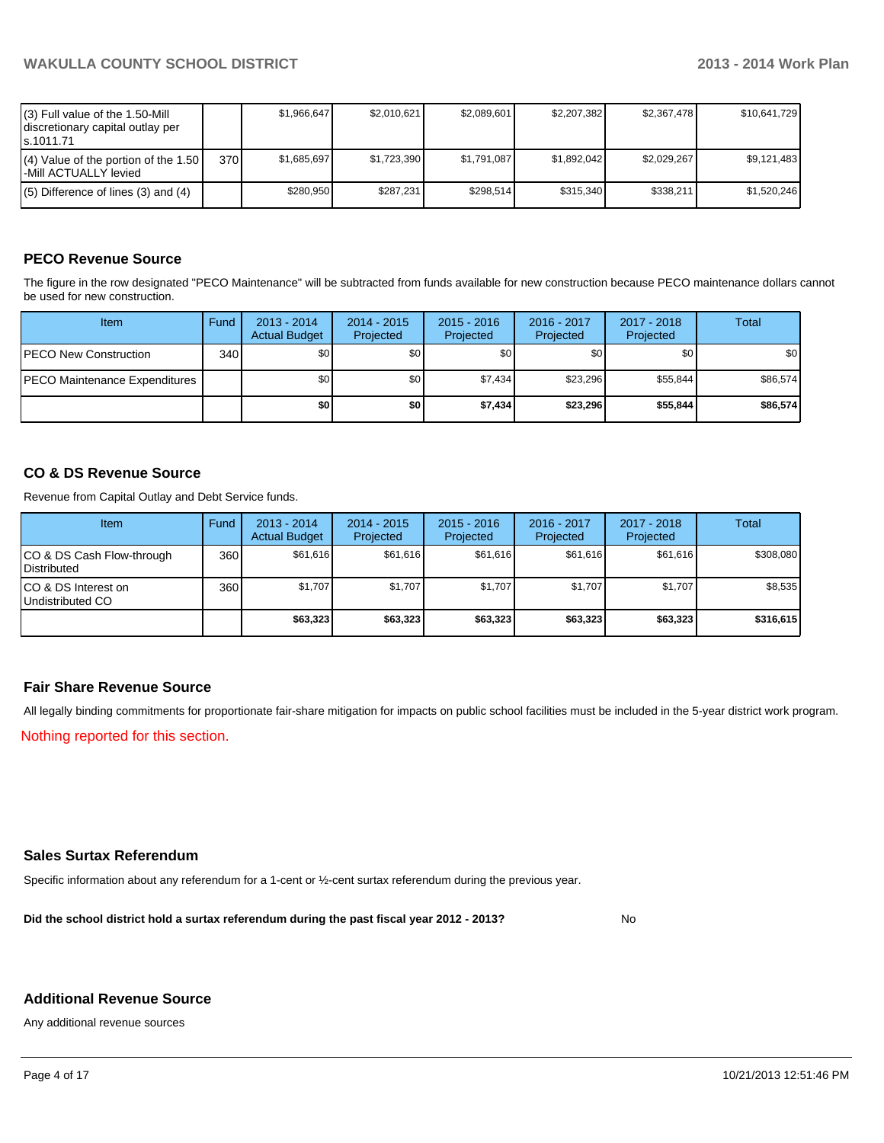| (3) Full value of the 1.50-Mill<br>discretionary capital outlay per<br>ls.1011.71 |       | \$1.966.647 | \$2.010.621 | \$2.089.601 | \$2.207.382 | \$2,367,478 | \$10,641,729 |
|-----------------------------------------------------------------------------------|-------|-------------|-------------|-------------|-------------|-------------|--------------|
| $(4)$ Value of the portion of the 1.50<br>l-Mill ACTUALLY levied                  | 370 l | \$1.685.697 | \$1,723,390 | \$1.791.087 | \$1.892.042 | \$2,029,267 | \$9,121,483  |
| $(5)$ Difference of lines (3) and (4)                                             |       | \$280.950   | \$287.231   | \$298.514   | \$315.340   | \$338.211   | \$1.520.246  |

# **PECO Revenue Source**

The figure in the row designated "PECO Maintenance" will be subtracted from funds available for new construction because PECO maintenance dollars cannot be used for new construction.

| Item                                  | Fund | $2013 - 2014$<br><b>Actual Budget</b> | $2014 - 2015$<br>Projected | $2015 - 2016$<br>Projected | 2016 - 2017<br>Projected | 2017 - 2018<br>Projected | Total    |
|---------------------------------------|------|---------------------------------------|----------------------------|----------------------------|--------------------------|--------------------------|----------|
| <b>IPECO New Construction</b>         | 340  | \$0                                   | \$0                        | \$0                        | \$0 <sub>0</sub>         | \$0                      | \$0      |
| <b>IPECO Maintenance Expenditures</b> |      | \$0 <sub>1</sub>                      | \$0 <sub>1</sub>           | \$7.434                    | \$23,296                 | \$55,844                 | \$86,574 |
|                                       |      | \$0                                   | \$0                        | \$7.434                    | \$23,296                 | \$55,844                 | \$86,574 |

### **CO & DS Revenue Source**

Revenue from Capital Outlay and Debt Service funds.

| <b>Item</b>                                        | Fund | $2013 - 2014$<br><b>Actual Budget</b> | $2014 - 2015$<br>Projected | $2015 - 2016$<br>Projected | $2016 - 2017$<br>Projected | $2017 - 2018$<br>Projected | Total     |
|----------------------------------------------------|------|---------------------------------------|----------------------------|----------------------------|----------------------------|----------------------------|-----------|
| ICO & DS Cash Flow-through<br><b>I</b> Distributed | 360  | \$61.616                              | \$61,616                   | \$61.616                   | \$61.616                   | \$61,616                   | \$308,080 |
| ICO & DS Interest on<br>Undistributed CO           | 360  | \$1.707                               | \$1.707                    | \$1.707                    | \$1.707                    | \$1,707                    | \$8,535   |
|                                                    |      | \$63,323                              | \$63,323                   | \$63,323                   | \$63,323                   | \$63,323                   | \$316,615 |

### **Fair Share Revenue Source**

All legally binding commitments for proportionate fair-share mitigation for impacts on public school facilities must be included in the 5-year district work program.

Nothing reported for this section.

### **Sales Surtax Referendum**

Specific information about any referendum for a 1-cent or ½-cent surtax referendum during the previous year.

**Did the school district hold a surtax referendum during the past fiscal year 2012 - 2013?**

No

#### **Additional Revenue Source**

Any additional revenue sources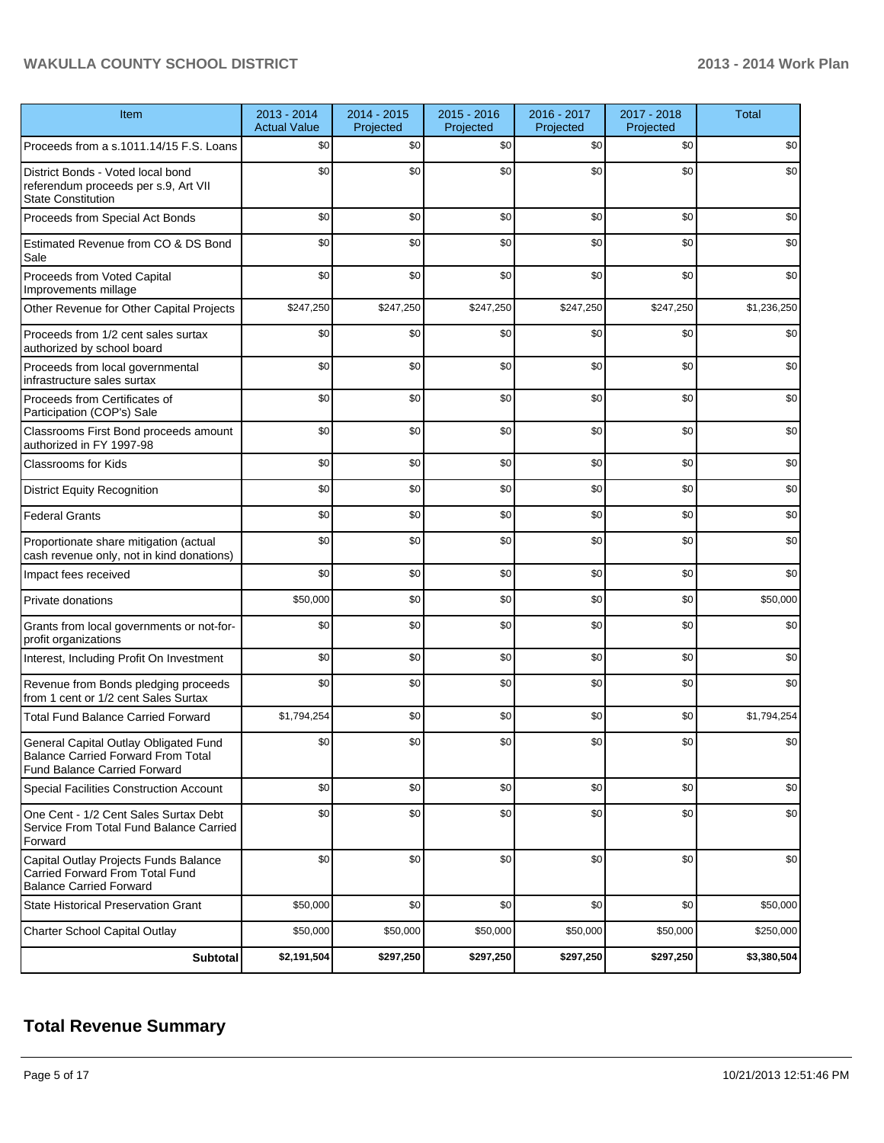# **WAKULLA COUNTY SCHOOL DISTRICT 2013 - 2014 Work Plan**

| Item                                                                                                                      | 2013 - 2014<br><b>Actual Value</b> | 2014 - 2015<br>Projected | 2015 - 2016<br>Projected | 2016 - 2017<br>Projected | 2017 - 2018<br>Projected | <b>Total</b> |
|---------------------------------------------------------------------------------------------------------------------------|------------------------------------|--------------------------|--------------------------|--------------------------|--------------------------|--------------|
| Proceeds from a s.1011.14/15 F.S. Loans                                                                                   | \$0                                | \$0                      | \$0                      | \$0                      | \$0                      | \$0          |
| District Bonds - Voted local bond<br>referendum proceeds per s.9, Art VII<br><b>State Constitution</b>                    | \$0                                | \$0                      | \$0                      | \$0                      | \$0                      | \$0          |
| Proceeds from Special Act Bonds                                                                                           | \$0                                | \$0                      | \$0                      | \$0                      | \$0                      | \$0          |
| Estimated Revenue from CO & DS Bond<br>Sale                                                                               | \$0                                | \$0                      | \$0                      | \$0                      | \$0                      | \$0          |
| Proceeds from Voted Capital<br>Improvements millage                                                                       | \$0                                | \$0                      | \$0                      | \$0                      | \$0                      | \$0          |
| Other Revenue for Other Capital Projects                                                                                  | \$247,250                          | \$247,250                | \$247,250                | \$247,250                | \$247,250                | \$1,236,250  |
| Proceeds from 1/2 cent sales surtax<br>authorized by school board                                                         | \$0                                | \$0                      | \$0                      | \$0                      | \$0                      | \$0          |
| Proceeds from local governmental<br>infrastructure sales surtax                                                           | \$0                                | \$0                      | \$0                      | \$0                      | \$0                      | \$0          |
| Proceeds from Certificates of<br>Participation (COP's) Sale                                                               | \$0                                | \$0                      | \$0                      | \$0                      | \$0                      | \$0          |
| Classrooms First Bond proceeds amount<br>authorized in FY 1997-98                                                         | \$0                                | \$0                      | \$0                      | \$0                      | \$0                      | \$0          |
| <b>Classrooms for Kids</b>                                                                                                | \$0                                | \$0                      | \$0                      | \$0                      | \$0                      | \$0          |
| <b>District Equity Recognition</b>                                                                                        | \$0                                | \$0                      | \$0                      | \$0                      | \$0                      | \$0          |
| <b>Federal Grants</b>                                                                                                     | \$0                                | \$0                      | \$0                      | \$0                      | \$0                      | \$0          |
| Proportionate share mitigation (actual<br>cash revenue only, not in kind donations)                                       | \$0                                | \$0                      | \$0                      | \$0                      | \$0                      | \$0          |
| Impact fees received                                                                                                      | \$0                                | \$0                      | \$0                      | \$0                      | \$0                      | \$0          |
| Private donations                                                                                                         | \$50,000                           | \$0                      | \$0                      | \$0                      | \$0                      | \$50,000     |
| Grants from local governments or not-for-<br>profit organizations                                                         | \$0                                | \$0                      | \$0                      | \$0                      | \$0                      | \$0          |
| Interest, Including Profit On Investment                                                                                  | \$0                                | \$0                      | \$0                      | \$0                      | \$0                      | \$0          |
| Revenue from Bonds pledging proceeds<br>from 1 cent or 1/2 cent Sales Surtax                                              | \$0                                | \$0                      | \$0                      | \$0                      | \$0                      | \$0          |
| <b>Total Fund Balance Carried Forward</b>                                                                                 | \$1,794,254                        | \$0                      | \$0                      | \$0                      | \$0                      | \$1,794,254  |
| General Capital Outlay Obligated Fund<br><b>Balance Carried Forward From Total</b><br><b>Fund Balance Carried Forward</b> | \$0                                | \$0                      | \$0                      | \$0                      | \$0                      | \$0          |
| <b>Special Facilities Construction Account</b>                                                                            | \$0                                | \$0                      | \$0                      | \$0                      | \$0                      | \$0          |
| One Cent - 1/2 Cent Sales Surtax Debt<br>Service From Total Fund Balance Carried<br>Forward                               | \$0                                | \$0                      | \$0                      | \$0                      | \$0                      | \$0          |
| Capital Outlay Projects Funds Balance<br>Carried Forward From Total Fund<br><b>Balance Carried Forward</b>                | \$0                                | \$0                      | \$0                      | \$0                      | \$0                      | \$0          |
| <b>State Historical Preservation Grant</b>                                                                                | \$50,000                           | \$0                      | \$0                      | \$0                      | \$0                      | \$50,000     |
| Charter School Capital Outlay                                                                                             | \$50,000                           | \$50,000                 | \$50,000                 | \$50,000                 | \$50,000                 | \$250,000    |
| Subtotal                                                                                                                  | \$2,191,504                        | \$297,250                | \$297,250                | \$297,250                | \$297,250                | \$3,380,504  |

# **Total Revenue Summary**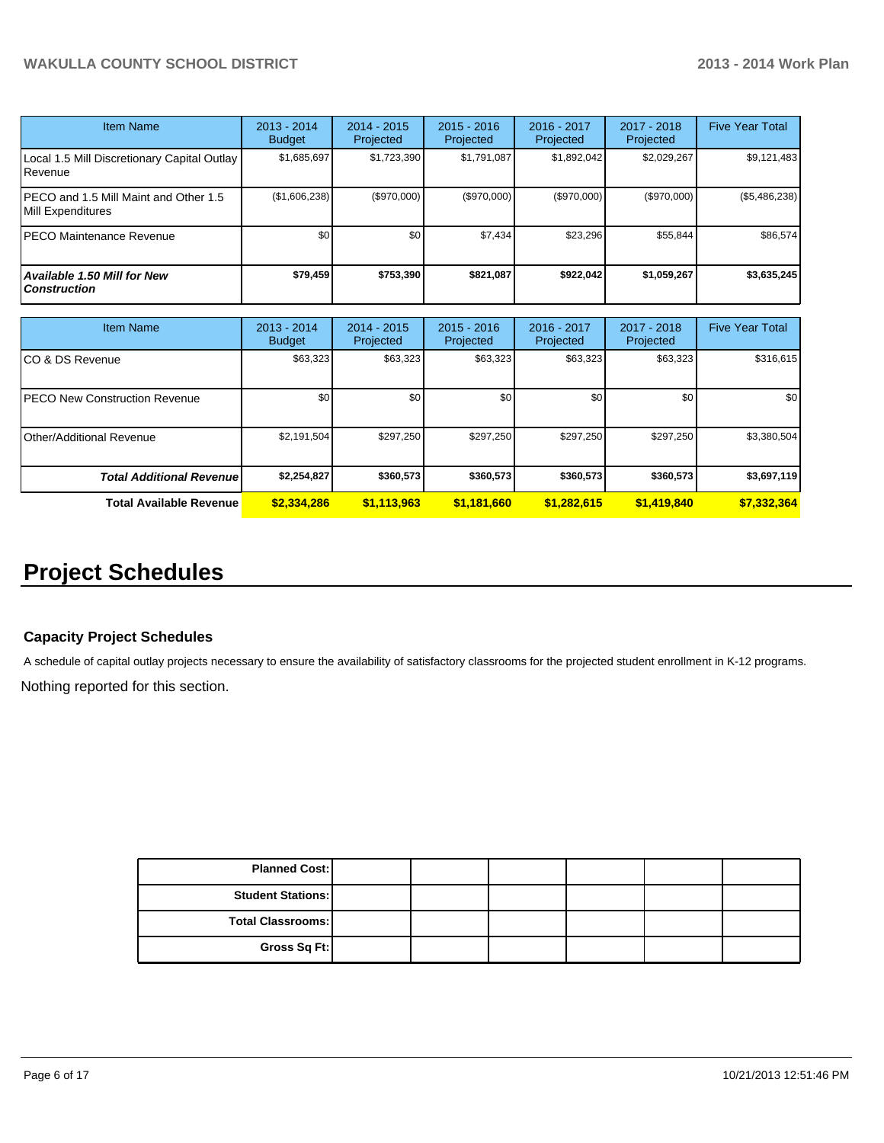| <b>Item Name</b>                                           | $2013 - 2014$<br><b>Budget</b> | $2014 - 2015$<br>Projected | $2015 - 2016$<br><b>Projected</b> | $2016 - 2017$<br>Projected | 2017 - 2018<br>Projected | <b>Five Year Total</b> |
|------------------------------------------------------------|--------------------------------|----------------------------|-----------------------------------|----------------------------|--------------------------|------------------------|
| Local 1.5 Mill Discretionary Capital Outlay<br>Revenue     | \$1,685,697                    | \$1,723,390                | \$1,791,087                       | \$1,892,042                | \$2,029,267              | \$9,121,483            |
| PECO and 1.5 Mill Maint and Other 1.5<br>Mill Expenditures | (\$1,606,238)                  | (S970.000)                 | (S970.000)                        | (\$970,000)                | (\$970,000)              | $(\$5,486,238)$        |
| <b>PECO Maintenance Revenue</b>                            | \$0                            | \$0                        | \$7.434                           | \$23.296                   | \$55.844                 | \$86.574               |
| <b>Available 1.50 Mill for New</b><br><b>Construction</b>  | \$79,459                       | \$753.390                  | \$821,087                         | \$922,042                  | \$1,059,267              | \$3,635,245            |

| <b>Item Name</b>                      | 2013 - 2014<br><b>Budget</b> | $2014 - 2015$<br>Projected | $2015 - 2016$<br>Projected | 2016 - 2017<br>Projected | 2017 - 2018<br>Projected | <b>Five Year Total</b> |
|---------------------------------------|------------------------------|----------------------------|----------------------------|--------------------------|--------------------------|------------------------|
| ICO & DS Revenue                      | \$63,323                     | \$63,323                   | \$63,323                   | \$63,323                 | \$63,323                 | \$316,615              |
| <b>IPECO New Construction Revenue</b> | \$0                          | \$0                        | \$0                        | \$0                      | \$0 <sub>1</sub>         | <b>\$0</b>             |
| <b>I</b> Other/Additional Revenue     | \$2,191,504                  | \$297,250                  | \$297,250                  | \$297,250                | \$297,250                | \$3,380,504            |
| <b>Total Additional Revenuel</b>      | \$2,254,827                  | \$360,573                  | \$360,573                  | \$360,573                | \$360,573                | \$3,697,119            |
| <b>Total Available Revenue</b>        | \$2,334,286                  | \$1,113,963                | \$1,181,660                | \$1,282,615              | \$1,419,840              | \$7,332,364            |

# **Project Schedules**

# **Capacity Project Schedules**

A schedule of capital outlay projects necessary to ensure the availability of satisfactory classrooms for the projected student enrollment in K-12 programs.

Nothing reported for this section.

| <b>Planned Cost:</b>       |  |  |  |
|----------------------------|--|--|--|
| <b>Student Stations: I</b> |  |  |  |
| <b>Total Classrooms: I</b> |  |  |  |
| Gross Sq Ft:               |  |  |  |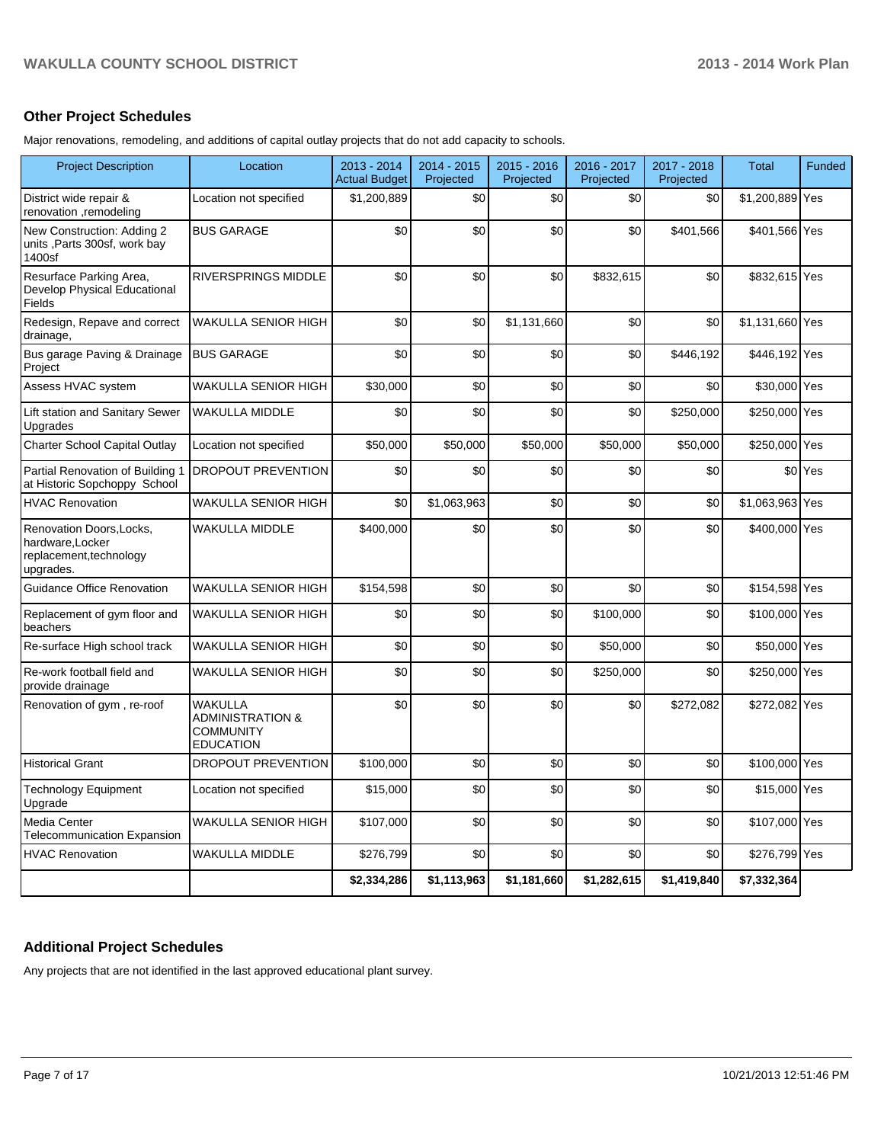# **Other Project Schedules**

Major renovations, remodeling, and additions of capital outlay projects that do not add capacity to schools.

| <b>Project Description</b>                                                           | Location                                                                              | $2013 - 2014$<br><b>Actual Budget</b> | 2014 - 2015<br>Projected | $2015 - 2016$<br>Projected | 2016 - 2017<br>Projected | 2017 - 2018<br>Projected | <b>Total</b>    | Funded               |
|--------------------------------------------------------------------------------------|---------------------------------------------------------------------------------------|---------------------------------------|--------------------------|----------------------------|--------------------------|--------------------------|-----------------|----------------------|
| District wide repair &<br>renovation ,remodeling                                     | Location not specified                                                                | \$1,200,889                           | \$0                      | \$0                        | \$0                      | \$0                      | \$1,200,889 Yes |                      |
| New Construction: Adding 2<br>units , Parts 300sf, work bay<br>1400sf                | <b>BUS GARAGE</b>                                                                     | \$0                                   | \$0                      | \$0                        | \$0                      | \$401,566                | \$401,566 Yes   |                      |
| Resurface Parking Area,<br>Develop Physical Educational<br>Fields                    | <b>RIVERSPRINGS MIDDLE</b>                                                            | \$0                                   | \$0                      | \$0                        | \$832,615                | \$0                      | \$832,615 Yes   |                      |
| Redesign, Repave and correct<br>drainage,                                            | <b>WAKULLA SENIOR HIGH</b>                                                            | \$0                                   | \$0                      | \$1,131,660                | \$0                      | \$0                      | \$1,131,660 Yes |                      |
| Bus garage Paving & Drainage<br>Project                                              | <b>BUS GARAGE</b>                                                                     | \$0                                   | \$0                      | \$0                        | \$0                      | \$446,192                | \$446,192 Yes   |                      |
| Assess HVAC system                                                                   | <b>WAKULLA SENIOR HIGH</b>                                                            | \$30,000                              | \$0                      | \$0                        | \$0                      | \$0                      | \$30,000 Yes    |                      |
| Lift station and Sanitary Sewer<br>Upgrades                                          | <b>WAKULLA MIDDLE</b>                                                                 | \$0                                   | \$0                      | \$0                        | \$0                      | \$250,000                | \$250,000 Yes   |                      |
| Charter School Capital Outlay                                                        | Location not specified                                                                | \$50,000                              | \$50,000                 | \$50,000                   | \$50,000                 | \$50,000                 | \$250,000 Yes   |                      |
| Partial Renovation of Building 1<br>at Historic Sopchoppy School                     | <b>DROPOUT PREVENTION</b>                                                             | \$0                                   | \$0                      | \$0                        | \$0                      | \$0                      |                 | \$0 <sup>l</sup> Yes |
| <b>HVAC Renovation</b>                                                               | <b>WAKULLA SENIOR HIGH</b>                                                            | \$0                                   | \$1,063,963              | \$0                        | \$0                      | \$0                      | \$1,063,963 Yes |                      |
| Renovation Doors, Locks,<br>hardware, Locker<br>replacement, technology<br>upgrades. | <b>WAKULLA MIDDLE</b>                                                                 | \$400,000                             | \$0                      | \$0                        | \$0                      | \$0                      | \$400,000 Yes   |                      |
| <b>Guidance Office Renovation</b>                                                    | <b>WAKULLA SENIOR HIGH</b>                                                            | \$154,598                             | \$0                      | \$0                        | \$0                      | \$0                      | \$154,598 Yes   |                      |
| Replacement of gym floor and<br>beachers                                             | WAKULLA SENIOR HIGH                                                                   | \$0                                   | \$0                      | \$0                        | \$100,000                | \$0                      | \$100,000 Yes   |                      |
| Re-surface High school track                                                         | <b>WAKULLA SENIOR HIGH</b>                                                            | \$0                                   | \$0                      | \$0                        | \$50,000                 | \$0                      | \$50,000 Yes    |                      |
| Re-work football field and<br>provide drainage                                       | <b>WAKULLA SENIOR HIGH</b>                                                            | \$0                                   | \$0                      | \$0                        | \$250,000                | \$0                      | \$250,000 Yes   |                      |
| Renovation of gym, re-roof                                                           | <b>WAKULLA</b><br><b>ADMINISTRATION &amp;</b><br><b>COMMUNITY</b><br><b>EDUCATION</b> | \$0                                   | \$0                      | \$0                        | \$0                      | \$272,082                | \$272,082 Yes   |                      |
| <b>Historical Grant</b>                                                              | DROPOUT PREVENTION                                                                    | \$100,000                             | \$0                      | \$0                        | \$0                      | \$0                      | \$100,000 Yes   |                      |
| <b>Technology Equipment</b><br>Upgrade                                               | Location not specified                                                                | \$15,000                              | \$0                      | \$0                        | \$0                      | \$0                      | \$15,000 Yes    |                      |
| Media Center<br><b>Telecommunication Expansion</b>                                   | <b>WAKULLA SENIOR HIGH</b>                                                            | \$107,000                             | \$0                      | \$0                        | \$0                      | \$0                      | \$107,000 Yes   |                      |
| <b>HVAC Renovation</b>                                                               | <b>WAKULLA MIDDLE</b>                                                                 | \$276,799                             | \$0                      | \$0                        | \$0                      | \$0                      | \$276,799 Yes   |                      |
|                                                                                      |                                                                                       | \$2,334,286                           | \$1,113,963              | \$1,181,660                | \$1,282,615              | \$1,419,840              | \$7,332,364     |                      |

## **Additional Project Schedules**

Any projects that are not identified in the last approved educational plant survey.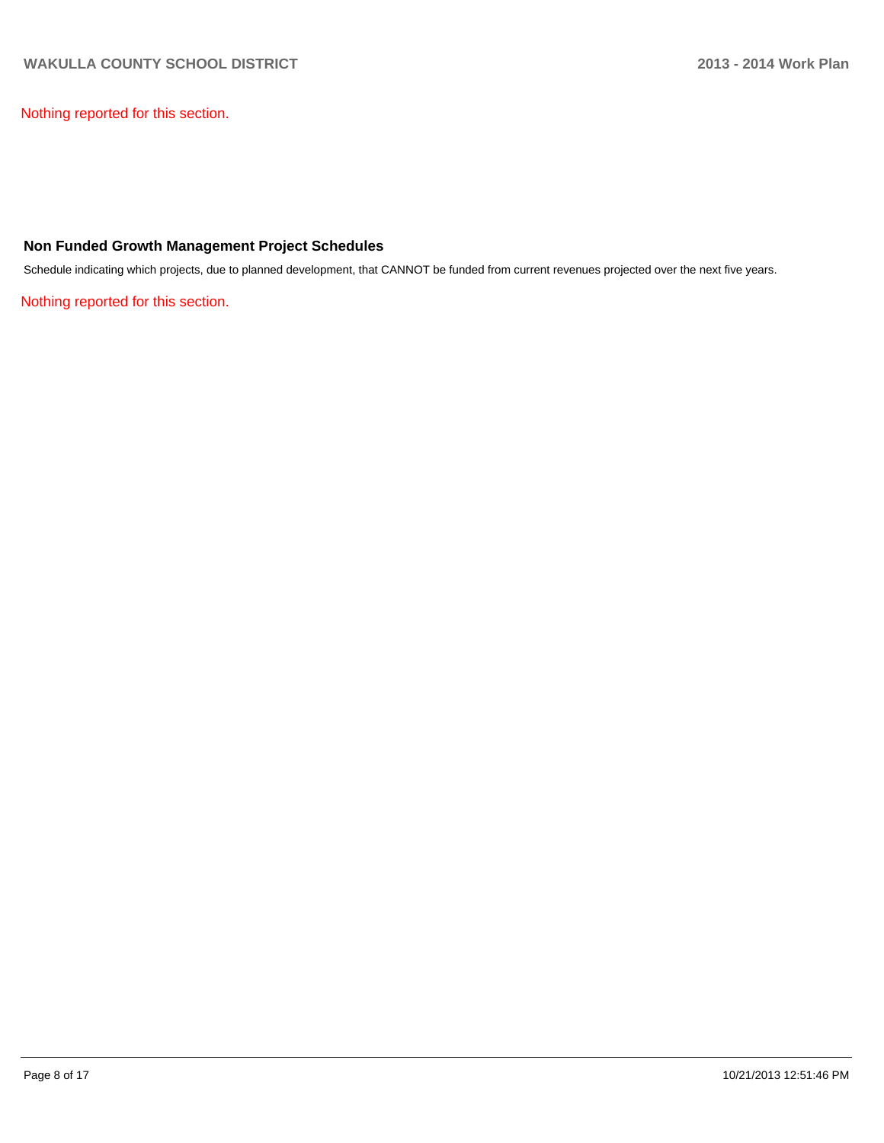Nothing reported for this section.

### **Non Funded Growth Management Project Schedules**

Schedule indicating which projects, due to planned development, that CANNOT be funded from current revenues projected over the next five years.

Nothing reported for this section.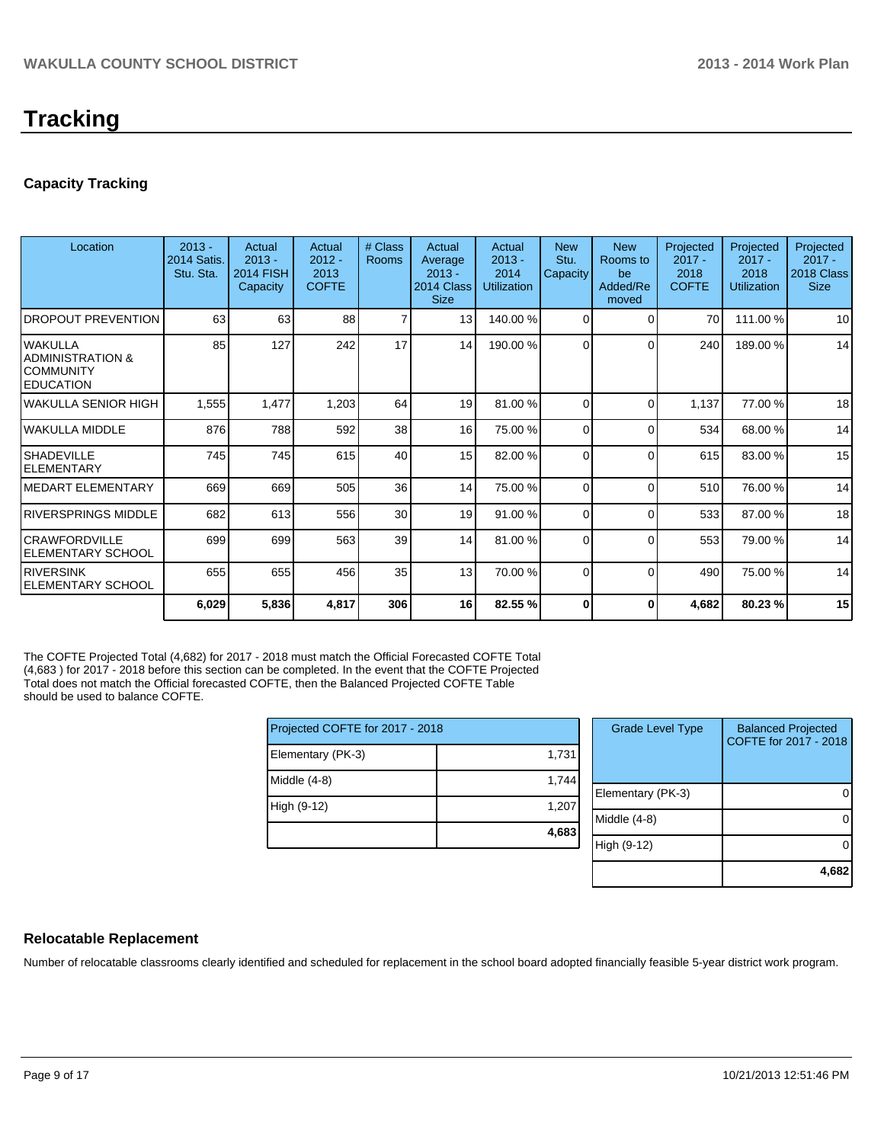# **Tracking**

# **Capacity Tracking**

| Location                                                         | $2013 -$<br>2014 Satis<br>Stu. Sta. | Actual<br>$2013 -$<br><b>2014 FISH</b><br>Capacity | Actual<br>$2012 -$<br>2013<br><b>COFTE</b> | # Class<br><b>Rooms</b> | Actual<br>Average<br>$2013 -$<br>2014 Class<br><b>Size</b> | Actual<br>$2013 -$<br>2014<br><b>Utilization</b> | <b>New</b><br>Stu.<br>Capacity | <b>New</b><br>Rooms to<br>be<br>Added/Re<br>moved | Projected<br>$2017 -$<br>2018<br><b>COFTE</b> | Projected<br>$2017 -$<br>2018<br>Utilization | Projected<br>$2017 -$<br>2018 Class<br><b>Size</b> |
|------------------------------------------------------------------|-------------------------------------|----------------------------------------------------|--------------------------------------------|-------------------------|------------------------------------------------------------|--------------------------------------------------|--------------------------------|---------------------------------------------------|-----------------------------------------------|----------------------------------------------|----------------------------------------------------|
| <b>DROPOUT PREVENTION</b>                                        | 63                                  | 63                                                 | 88                                         | 7                       | 13 <sup>l</sup>                                            | 140.00%                                          | $\Omega$                       | 0                                                 | 70                                            | 111.00 %                                     | 10                                                 |
| lwakulla<br>IADMINISTRATION &<br>ICOMMUNITY<br><b>IEDUCATION</b> | 85                                  | 127                                                | 242                                        | 17                      | 14                                                         | 190.00%                                          | $\Omega$                       | C                                                 | 240                                           | 189.00%                                      | 14                                                 |
| lwakulla SENIOR HIGH                                             | 1,555                               | 1,477                                              | 1,203                                      | 64                      | 19                                                         | 81.00 %                                          | $\Omega$                       | $\Omega$                                          | 1,137                                         | 77.00 %                                      | 18                                                 |
| lwakulla middle                                                  | 876                                 | 788                                                | 592                                        | 38                      | 16                                                         | 75.00 %                                          | $\Omega$                       | $\Omega$                                          | 534                                           | 68.00 %                                      | 14                                                 |
| <b>SHADEVILLE</b><br><b>IELEMENTARY</b>                          | 745                                 | 745                                                | 615                                        | 40                      | 15                                                         | 82.00 %                                          | $\Omega$                       | C                                                 | 615                                           | 83.00 %                                      | 15                                                 |
| IMEDART ELEMENTARY                                               | 669                                 | 669                                                | 505                                        | 36                      | 14                                                         | 75.00 %                                          | $\Omega$                       | C                                                 | 510                                           | 76.00 %                                      | 14                                                 |
| IRIVERSPRINGS MIDDLE                                             | 682                                 | 613                                                | 556                                        | 30                      | 19                                                         | 91.00 %                                          | $\Omega$                       | $\Omega$                                          | 533                                           | 87.00 %                                      | 18                                                 |
| <b>ICRAWFORDVILLE</b><br><b>ELEMENTARY SCHOOL</b>                | 699                                 | 699                                                | 563                                        | 39                      | 14                                                         | 81.00 %                                          | $\Omega$                       | C                                                 | 553                                           | 79.00 %                                      | 14                                                 |
| <b>IRIVERSINK</b><br>IELEMENTARY SCHOOL                          | 655                                 | 655                                                | 456                                        | 35                      | 13                                                         | 70.00 %                                          | $\Omega$                       | 0                                                 | 490                                           | 75.00 %                                      | 14                                                 |
|                                                                  | 6,029                               | 5,836                                              | 4,817                                      | 306                     | 16 <sup>1</sup>                                            | 82.55 %                                          | 0                              | 0                                                 | 4,682                                         | 80.23 %                                      | 15                                                 |

The COFTE Projected Total (4,682) for 2017 - 2018 must match the Official Forecasted COFTE Total (4,683 ) for 2017 - 2018 before this section can be completed. In the event that the COFTE Projected Total does not match the Official forecasted COFTE, then the Balanced Projected COFTE Table should be used to balance COFTE.

| Projected COFTE for 2017 - 2018 |       | <b>Grade Level Type</b> | <b>Balanced Projected</b><br>COFTE for 2017 - 2018 |
|---------------------------------|-------|-------------------------|----------------------------------------------------|
| Elementary (PK-3)               | 1,731 |                         |                                                    |
| $Middle (4-8)$                  | 1,744 |                         |                                                    |
|                                 |       | Elementary (PK-3)       |                                                    |
| High (9-12)                     | 1,207 |                         |                                                    |
|                                 |       | Middle (4-8)            |                                                    |
|                                 | 4,683 | High (9-12)             |                                                    |
|                                 |       |                         |                                                    |
|                                 |       |                         | 4,682                                              |

#### **Relocatable Replacement**

Number of relocatable classrooms clearly identified and scheduled for replacement in the school board adopted financially feasible 5-year district work program.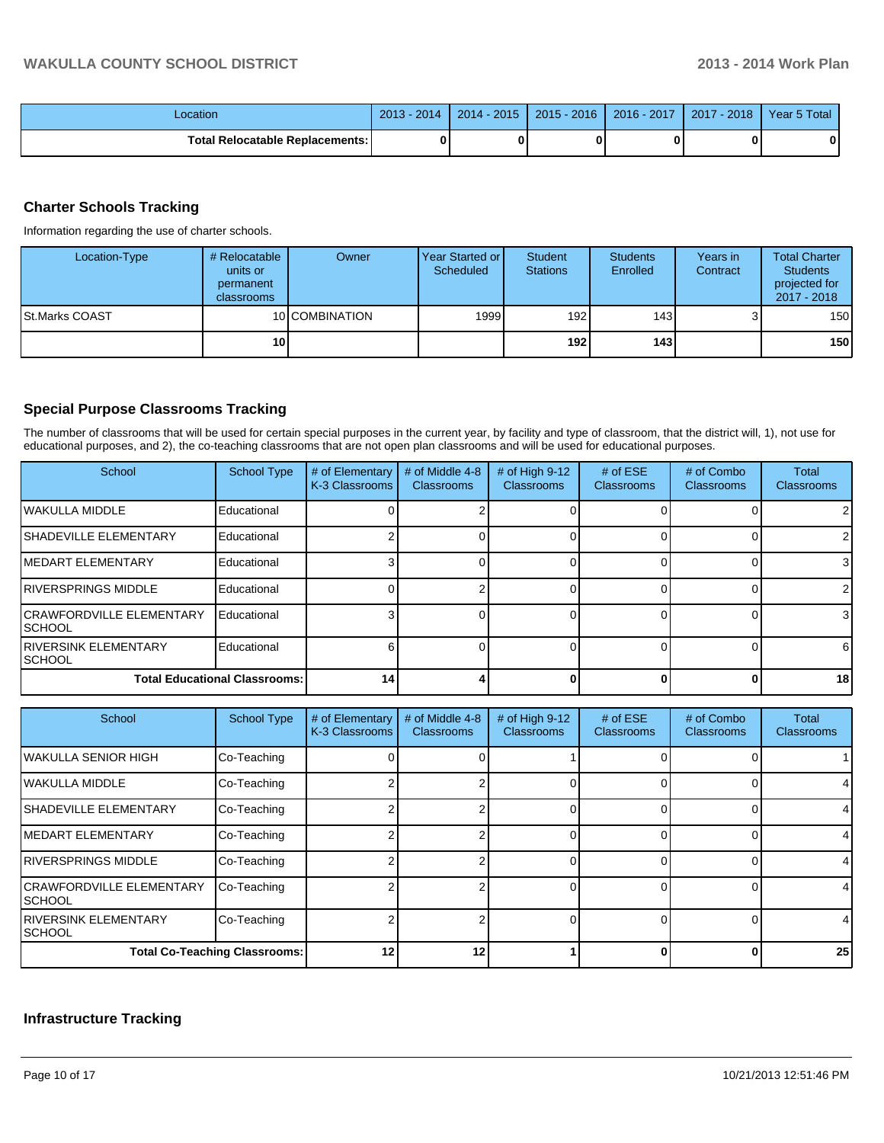| _ocation                          | 2014<br>2013 | $-2015$<br>$2014 -$ | $2015 - 2016$ | 2016 - 2017 | 2018<br>2017 | Year 5 Total |
|-----------------------------------|--------------|---------------------|---------------|-------------|--------------|--------------|
| Total Relocatable Replacements: I |              |                     |               |             |              | 0            |

# **Charter Schools Tracking**

Information regarding the use of charter schools.

| Location-Type   | # Relocatable<br>units or<br>permanent<br>classrooms | Owner          | Year Started or I<br>Scheduled | Student<br><b>Stations</b> | <b>Students</b><br>Enrolled | Years in<br>Contract | <b>Total Charter</b><br><b>Students</b><br>projected for<br>2017 - 2018 |
|-----------------|------------------------------------------------------|----------------|--------------------------------|----------------------------|-----------------------------|----------------------|-------------------------------------------------------------------------|
| ISt.Marks COAST |                                                      | 10 COMBINATION | 1999                           | 192 <sub>l</sub>           | 143 <sup>l</sup>            | ບ                    | 150                                                                     |
|                 | 10 <sup>1</sup>                                      |                |                                | 192 l                      | 143 l                       |                      | 150                                                                     |

## **Special Purpose Classrooms Tracking**

The number of classrooms that will be used for certain special purposes in the current year, by facility and type of classroom, that the district will, 1), not use for educational purposes, and 2), the co-teaching classrooms that are not open plan classrooms and will be used for educational purposes.

| School                                      | <b>School Type</b> | # of Elementary<br>K-3 Classrooms | # of Middle 4-8<br><b>Classrooms</b> | # of High $9-12$<br>Classrooms | # of $ESE$<br>Classrooms | # of Combo<br><b>Classrooms</b> | Total<br><b>Classrooms</b> |
|---------------------------------------------|--------------------|-----------------------------------|--------------------------------------|--------------------------------|--------------------------|---------------------------------|----------------------------|
| <b>IWAKULLA MIDDLE</b>                      | Educational        |                                   |                                      |                                |                          |                                 |                            |
| <b>SHADEVILLE ELEMENTARY</b>                | Educational        |                                   |                                      |                                |                          |                                 |                            |
| <b>IMEDART ELEMENTARY</b>                   | Educational        |                                   |                                      |                                |                          |                                 |                            |
| <b>IRIVERSPRINGS MIDDLE</b>                 | Educational        |                                   |                                      |                                |                          |                                 |                            |
| <b>ICRAWFORDVILLE ELEMENTARY</b><br>ISCHOOL | Educational        |                                   |                                      |                                |                          |                                 | 3                          |
| <b>IRIVERSINK ELEMENTARY</b><br>ISCHOOL     | Educational        |                                   |                                      |                                |                          |                                 | 6                          |
| <b>Total Educational Classrooms:</b>        |                    | 14                                |                                      |                                |                          |                                 | 18 <sup>l</sup>            |

| School                                     | <b>School Type</b>                   | # of Elementary<br>K-3 Classrooms | # of Middle 4-8<br><b>Classrooms</b> | # of High 9-12<br><b>Classrooms</b> | # of $ESE$<br><b>Classrooms</b> | # of Combo<br><b>Classrooms</b> | Total<br><b>Classrooms</b> |
|--------------------------------------------|--------------------------------------|-----------------------------------|--------------------------------------|-------------------------------------|---------------------------------|---------------------------------|----------------------------|
| IWAKULLA SENIOR HIGH                       | Co-Teaching                          |                                   |                                      |                                     |                                 |                                 |                            |
| lwakulla middle                            | Co-Teaching                          |                                   |                                      |                                     |                                 |                                 | 41                         |
| ISHADEVILLE ELEMENTARY                     | Co-Teaching                          |                                   |                                      |                                     |                                 |                                 | 41                         |
| IMEDART ELEMENTARY                         | Co-Teaching                          |                                   |                                      |                                     |                                 |                                 | 41                         |
| IRIVERSPRINGS MIDDLE                       | Co-Teaching                          |                                   |                                      |                                     |                                 |                                 | 41                         |
| <b>CRAWFORDVILLE ELEMENTARY</b><br>ISCHOOL | Co-Teaching                          |                                   |                                      |                                     |                                 |                                 | $\overline{4}$             |
| IRIVERSINK ELEMENTARY<br>ISCHOOL           | Co-Teaching                          |                                   |                                      |                                     |                                 |                                 | 4                          |
|                                            | <b>Total Co-Teaching Classrooms:</b> | 12                                | 12                                   |                                     |                                 |                                 | 25 <sub>1</sub>            |

### **Infrastructure Tracking**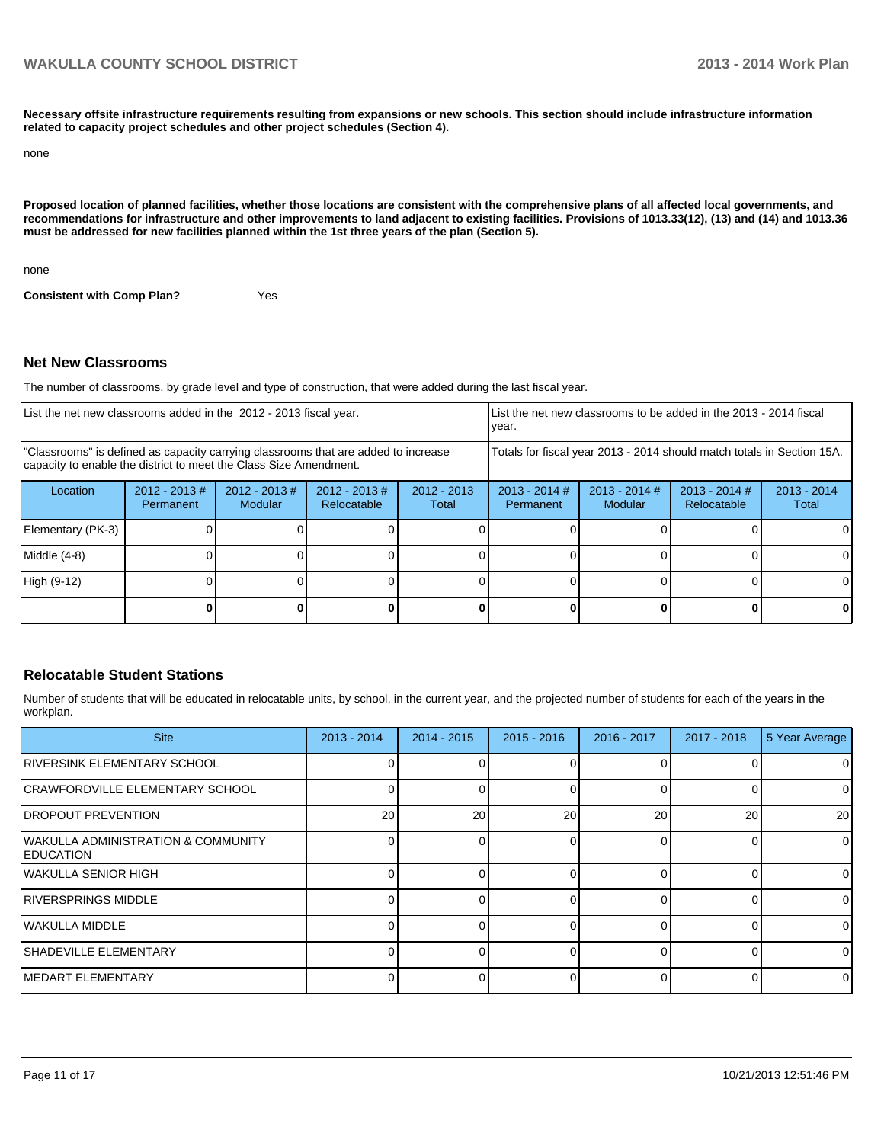**Necessary offsite infrastructure requirements resulting from expansions or new schools. This section should include infrastructure information related to capacity project schedules and other project schedules (Section 4).**

```
none
```
**Proposed location of planned facilities, whether those locations are consistent with the comprehensive plans of all affected local governments, and recommendations for infrastructure and other improvements to land adjacent to existing facilities. Provisions of 1013.33(12), (13) and (14) and 1013.36 must be addressed for new facilities planned within the 1st three years of the plan (Section 5).**

none

**Consistent with Comp Plan?** Yes

#### **Net New Classrooms**

The number of classrooms, by grade level and type of construction, that were added during the last fiscal year.

| List the net new classrooms added in the 2012 - 2013 fiscal year.                                                                                       |                                                                        |                            |                                | List the net new classrooms to be added in the 2013 - 2014 fiscal<br>year. |                              |                        |  |   |
|---------------------------------------------------------------------------------------------------------------------------------------------------------|------------------------------------------------------------------------|----------------------------|--------------------------------|----------------------------------------------------------------------------|------------------------------|------------------------|--|---|
| "Classrooms" is defined as capacity carrying classrooms that are added to increase<br>capacity to enable the district to meet the Class Size Amendment. | Totals for fiscal year 2013 - 2014 should match totals in Section 15A. |                            |                                |                                                                            |                              |                        |  |   |
| Location                                                                                                                                                | $2012 - 2013 \#$<br>Permanent                                          | $2012 - 2013$ #<br>Modular | $2012 - 2013$ #<br>Relocatable | $2012 - 2013$<br>Total                                                     | $2013 - 2014$ #<br>Permanent | $2013 - 2014$<br>Total |  |   |
| Elementary (PK-3)                                                                                                                                       |                                                                        |                            |                                |                                                                            |                              |                        |  |   |
| $Middle (4-8)$                                                                                                                                          |                                                                        |                            |                                |                                                                            |                              |                        |  |   |
| High (9-12)                                                                                                                                             |                                                                        |                            |                                |                                                                            |                              |                        |  |   |
|                                                                                                                                                         |                                                                        |                            |                                |                                                                            |                              |                        |  | 0 |

#### **Relocatable Student Stations**

Number of students that will be educated in relocatable units, by school, in the current year, and the projected number of students for each of the years in the workplan.

| <b>Site</b>                                                         | $2013 - 2014$ | $2014 - 2015$ | $2015 - 2016$ | 2016 - 2017 | $2017 - 2018$ | 5 Year Average |
|---------------------------------------------------------------------|---------------|---------------|---------------|-------------|---------------|----------------|
| <b>RIVERSINK ELEMENTARY SCHOOL</b>                                  |               |               |               |             |               | 0              |
| <b>ICRAWFORDVILLE ELEMENTARY SCHOOL</b>                             |               |               |               |             |               | $\overline{0}$ |
| <b>IDROPOUT PREVENTION</b>                                          | 20            | 20            | 20            | 20          | 20            | 20             |
| <b>IWAKULLA ADMINISTRATION &amp; COMMUNITY</b><br><b>IEDUCATION</b> |               |               |               |             |               | $\overline{0}$ |
| IWAKULLA SENIOR HIGH                                                |               |               |               |             |               | $\Omega$       |
| <b>IRIVERSPRINGS MIDDLE</b>                                         |               |               |               |             |               | $\Omega$       |
| <b>I</b> WAKULLA MIDDLE                                             |               |               |               |             |               | $\Omega$       |
| <b>ISHADEVILLE ELEMENTARY</b>                                       |               |               |               |             |               | $\Omega$       |
| <b>IMEDART ELEMENTARY</b>                                           |               |               |               |             |               | $\overline{0}$ |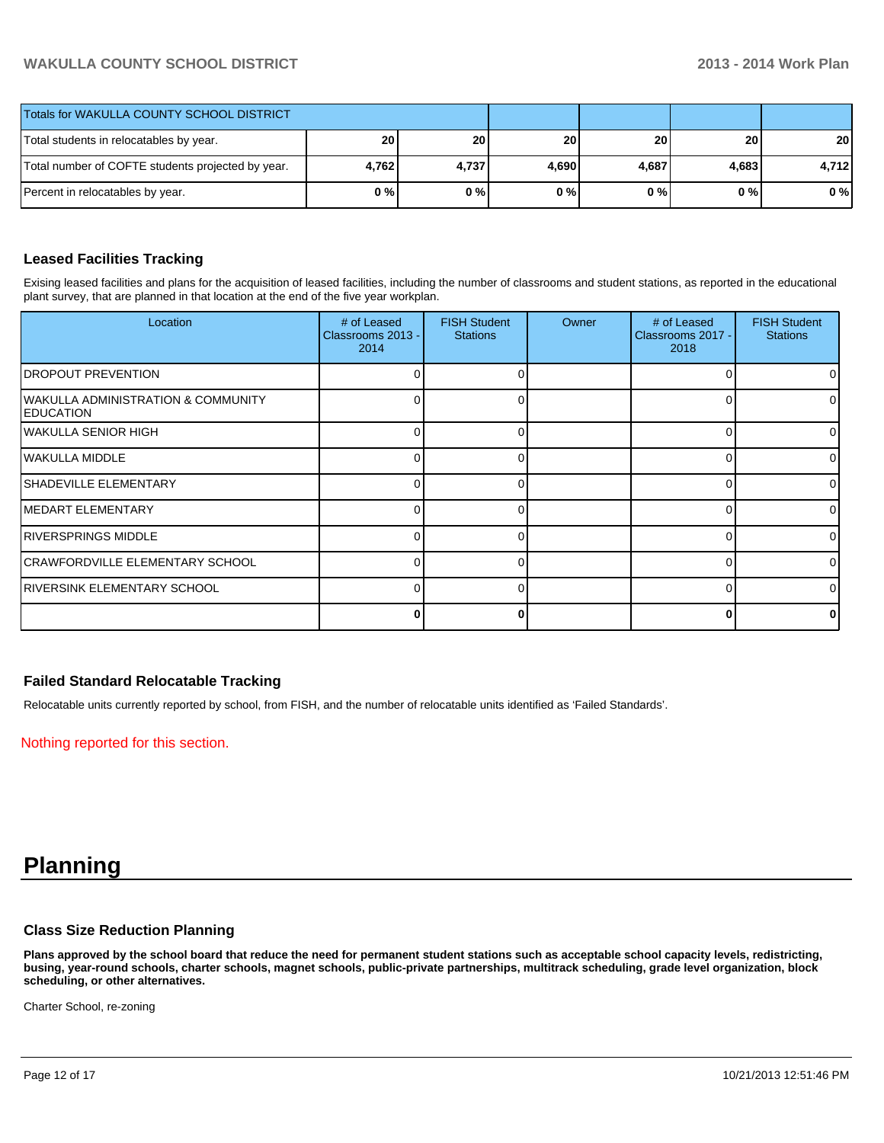# **WAKULLA COUNTY SCHOOL DISTRICT 2013 - 2014 Work Plan**

| <b>Totals for WAKULLA COUNTY SCHOOL DISTRICT</b>  |       |       |                 |                 |           |       |
|---------------------------------------------------|-------|-------|-----------------|-----------------|-----------|-------|
| Total students in relocatables by year.           | 20    | 20 l  | 20 <sub>1</sub> | 20 <sup>1</sup> | <b>20</b> | 20    |
| Total number of COFTE students projected by year. | 4,762 | 4,737 | 4.690           | 4,687           | 4,683     | 4,712 |
| Percent in relocatables by year.                  | 0%    | 0%    | 0%              | 0 % I           | 0 % I     | $0\%$ |

### **Leased Facilities Tracking**

Exising leased facilities and plans for the acquisition of leased facilities, including the number of classrooms and student stations, as reported in the educational plant survey, that are planned in that location at the end of the five year workplan.

| Location                                                          | # of Leased<br>Classrooms 2013 -<br>2014 | <b>FISH Student</b><br><b>Stations</b> | Owner | # of Leased<br>Classrooms 2017 -<br>2018 | <b>FISH Student</b><br><b>Stations</b> |
|-------------------------------------------------------------------|------------------------------------------|----------------------------------------|-------|------------------------------------------|----------------------------------------|
| <b>DROPOUT PREVENTION</b>                                         |                                          |                                        |       |                                          | 0                                      |
| <b>WAKULLA ADMINISTRATION &amp; COMMUNITY</b><br><b>EDUCATION</b> |                                          |                                        |       |                                          | 01                                     |
| WAKULLA SENIOR HIGH                                               |                                          |                                        |       |                                          | 01                                     |
| WAKULLA MIDDLE                                                    |                                          |                                        |       |                                          | $\Omega$                               |
| SHADEVILLE ELEMENTARY                                             |                                          |                                        |       |                                          | 01                                     |
| MEDART ELEMENTARY                                                 |                                          |                                        |       |                                          | ΩI                                     |
| <b>RIVERSPRINGS MIDDLE</b>                                        |                                          |                                        |       |                                          | ΩI                                     |
| CRAWFORDVILLE ELEMENTARY SCHOOL                                   | ∩                                        |                                        |       |                                          | $\Omega$                               |
| <b>RIVERSINK ELEMENTARY SCHOOL</b>                                | ∩                                        |                                        |       | ∩                                        | $\Omega$                               |
|                                                                   |                                          |                                        |       |                                          | 0                                      |

#### **Failed Standard Relocatable Tracking**

Relocatable units currently reported by school, from FISH, and the number of relocatable units identified as 'Failed Standards'.

Nothing reported for this section.

# **Planning**

#### **Class Size Reduction Planning**

**Plans approved by the school board that reduce the need for permanent student stations such as acceptable school capacity levels, redistricting, busing, year-round schools, charter schools, magnet schools, public-private partnerships, multitrack scheduling, grade level organization, block scheduling, or other alternatives.**

Charter School, re-zoning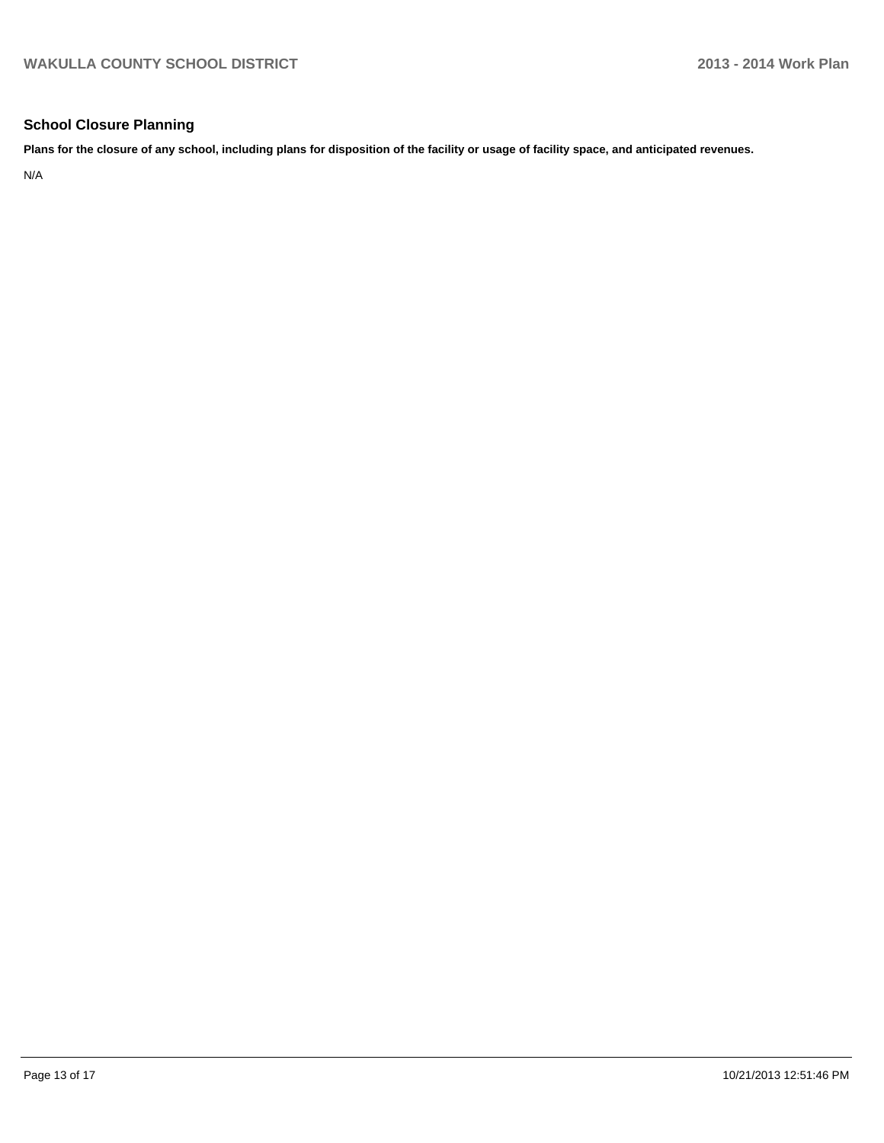# **School Closure Planning**

**Plans for the closure of any school, including plans for disposition of the facility or usage of facility space, and anticipated revenues.**

N/A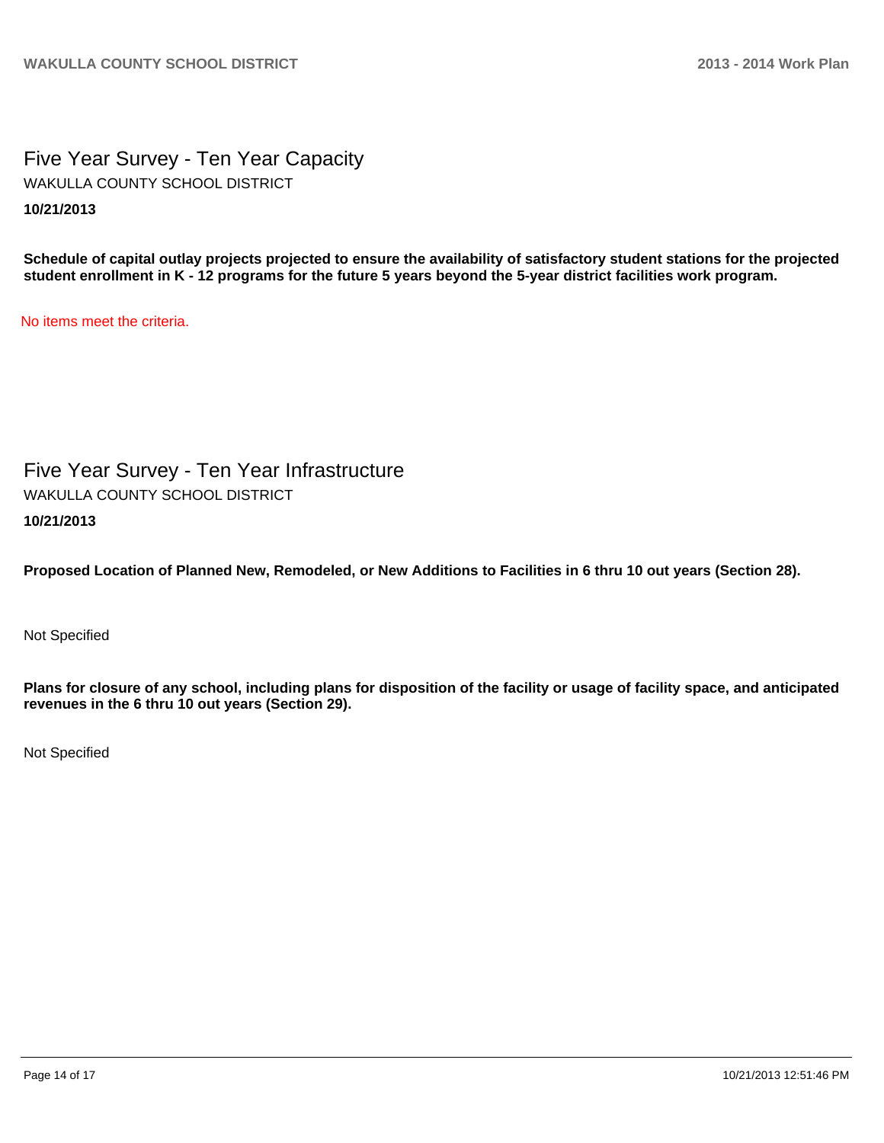Five Year Survey - Ten Year Capacity **10/21/2013** WAKULLA COUNTY SCHOOL DISTRICT

**Schedule of capital outlay projects projected to ensure the availability of satisfactory student stations for the projected student enrollment in K - 12 programs for the future 5 years beyond the 5-year district facilities work program.**

No items meet the criteria.

Five Year Survey - Ten Year Infrastructure **10/21/2013** WAKULLA COUNTY SCHOOL DISTRICT

**Proposed Location of Planned New, Remodeled, or New Additions to Facilities in 6 thru 10 out years (Section 28).**

Not Specified

**Plans for closure of any school, including plans for disposition of the facility or usage of facility space, and anticipated revenues in the 6 thru 10 out years (Section 29).**

Not Specified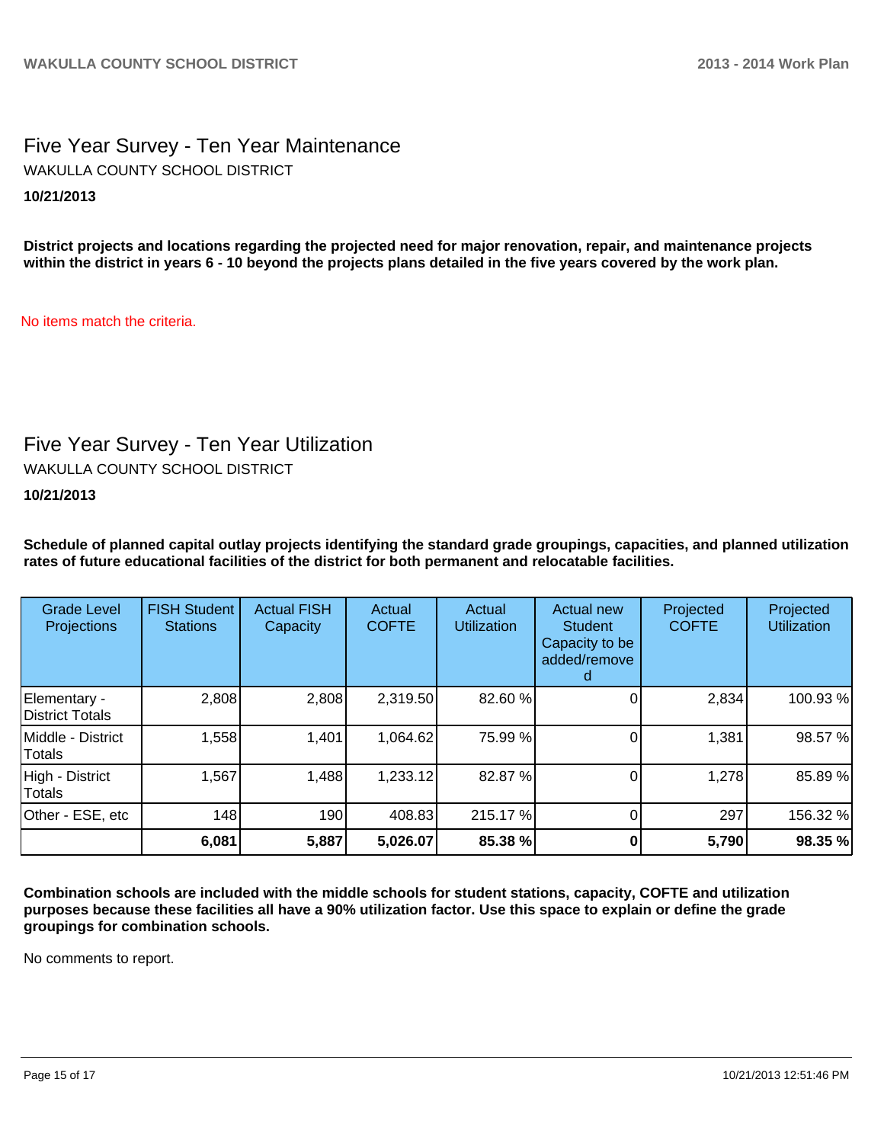# Five Year Survey - Ten Year Maintenance **10/21/2013** WAKULLA COUNTY SCHOOL DISTRICT

**District projects and locations regarding the projected need for major renovation, repair, and maintenance projects within the district in years 6 - 10 beyond the projects plans detailed in the five years covered by the work plan.**

No items match the criteria.

# Five Year Survey - Ten Year Utilization

WAKULLA COUNTY SCHOOL DISTRICT

**10/21/2013**

**Schedule of planned capital outlay projects identifying the standard grade groupings, capacities, and planned utilization rates of future educational facilities of the district for both permanent and relocatable facilities.**

| <b>Grade Level</b><br>Projections | <b>FISH Student</b><br><b>Stations</b> | <b>Actual FISH</b><br>Capacity | Actual<br><b>COFTE</b> | Actual<br><b>Utilization</b> | Actual new<br><b>Student</b><br>Capacity to be<br>added/remove | Projected<br><b>COFTE</b> | Projected<br><b>Utilization</b> |
|-----------------------------------|----------------------------------------|--------------------------------|------------------------|------------------------------|----------------------------------------------------------------|---------------------------|---------------------------------|
| Elementary -<br>District Totals   | 2,808                                  | 2,808                          | 2,319.50               | 82.60 %                      |                                                                | 2,834                     | 100.93%                         |
| Middle - District<br>Totals       | 1,558                                  | 1,401                          | 1,064.62               | 75.99 %                      |                                                                | 1,381                     | 98.57 %                         |
| High - District<br>Totals         | 1,567                                  | 1,488                          | 1,233.12               | 82.87%                       |                                                                | 1,278                     | 85.89%                          |
| Other - ESE, etc                  | 148                                    | 190                            | 408.83                 | 215.17%                      |                                                                | 297                       | 156.32 %                        |
|                                   | 6,081                                  | 5,887                          | 5,026.07               | 85.38 %                      |                                                                | 5,790                     | 98.35 %                         |

**Combination schools are included with the middle schools for student stations, capacity, COFTE and utilization purposes because these facilities all have a 90% utilization factor. Use this space to explain or define the grade groupings for combination schools.**

No comments to report.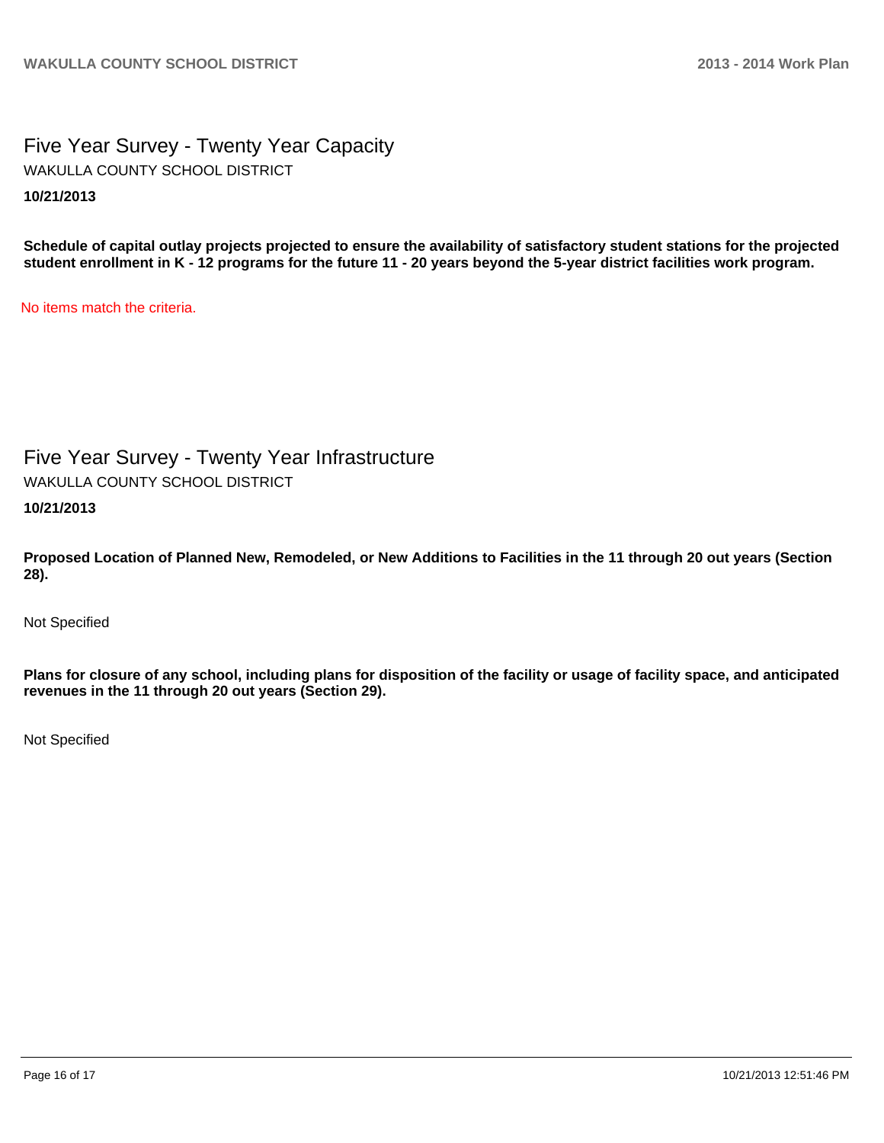# Five Year Survey - Twenty Year Capacity **10/21/2013** WAKULLA COUNTY SCHOOL DISTRICT

**Schedule of capital outlay projects projected to ensure the availability of satisfactory student stations for the projected student enrollment in K - 12 programs for the future 11 - 20 years beyond the 5-year district facilities work program.**

No items match the criteria.

# Five Year Survey - Twenty Year Infrastructure

WAKULLA COUNTY SCHOOL DISTRICT

**10/21/2013**

**Proposed Location of Planned New, Remodeled, or New Additions to Facilities in the 11 through 20 out years (Section 28).**

Not Specified

**Plans for closure of any school, including plans for disposition of the facility or usage of facility space, and anticipated revenues in the 11 through 20 out years (Section 29).**

Not Specified